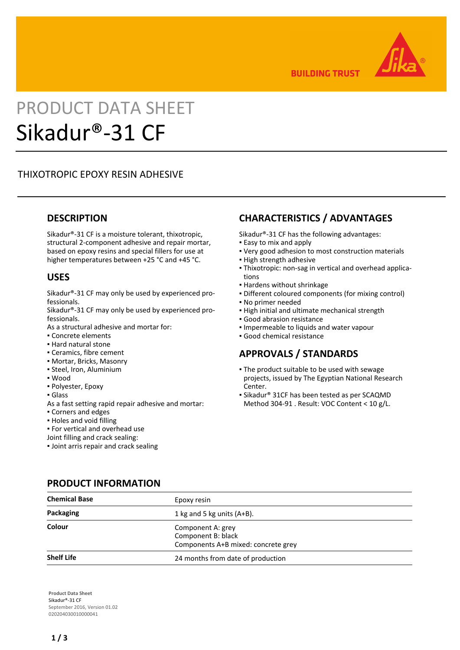

**BUILDING TRUST** 

# PRODUCT DATA SHEET Sikadur®-31 CF

# THIXOTROPIC EPOXY RESIN ADHESIVE

## **DESCRIPTION**

Sikadur®-31 CF is a moisture tolerant, thixotropic, structural 2-component adhesive and repair mortar, based on epoxy resins and special fillers for use at higher temperatures between +25 °C and +45 °C.

## **USES**

Sikadur®-31 CF may only be used by experienced professionals.

Sikadur®-31 CF may only be used by experienced professionals.

As a structural adhesive and mortar for:

- Concrete elements
- Hard natural stone
- Ceramics, fibre cement
- Mortar, Bricks, Masonry
- Steel, Iron, Aluminium
- Wood
- Polyester, Epoxy
- Glass
- As a fast setting rapid repair adhesive and mortar:
- Corners and edges
- Holes and void filling
- For vertical and overhead use

Joint filling and crack sealing:

**.** Joint arris repair and crack sealing

# **CHARACTERISTICS / ADVANTAGES**

Sikadur®-31 CF has the following advantages:

- **Easy to mix and apply**
- Very good adhesion to most construction materials
- **.** High strength adhesive
- Thixotropic: non-sag in vertical and overhead applica-▪ tions
- Hardens without shrinkage
- Different coloured components (for mixing control)
- No primer needed
- **.** High initial and ultimate mechanical strength
- Good abrasion resistance
- Impermeable to liquids and water vapour
- Good chemical resistance

## **APPROVALS / STANDARDS**

- The product suitable to be used with sewage projects, issued by The Egyptian National Research Center.
- Sikadur® 31CF has been tested as per SCAQMD Method 304-91 . Result: VOC Content < 10 g/L.

| <b>Chemical Base</b> | Epoxy resin                                                                    |  |  |  |  |
|----------------------|--------------------------------------------------------------------------------|--|--|--|--|
| Packaging            | 1 kg and 5 kg units $(A+B)$ .                                                  |  |  |  |  |
| Colour               | Component A: grey<br>Component B: black<br>Components A+B mixed: concrete grey |  |  |  |  |
| <b>Shelf Life</b>    | 24 months from date of production                                              |  |  |  |  |

**PRODUCT INFORMATION**

**Product Data Sheet** Sikadur®-31 CF September 2016, Version 01.02 020204030010000041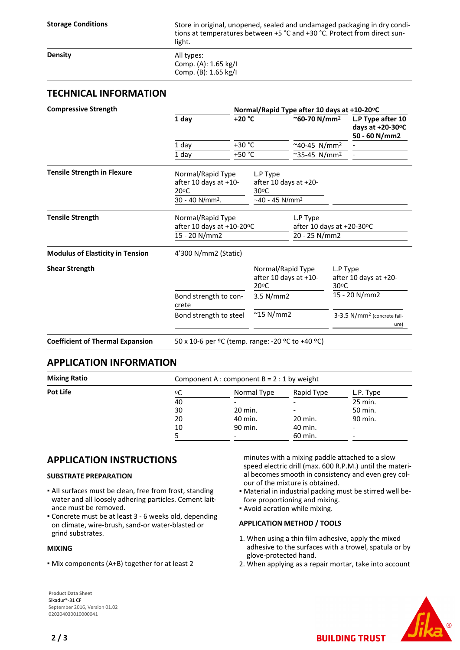Storage Conditions **Store in original**, unopened, sealed and undamaged packaging in dry conditions at temperatures between +5 °C and +30 °C. Protect from direct sunlight.

**Density** All types: Comp. (A): 1.65 kg/I Comp. (B): 1.65 kg/I

## **TECHNICAL INFORMATION**

| 1 day<br>1 day<br>1 day                                                           | +20 °C<br>$+30 °C$<br>+50 °C | Normal/Rapid Type after 10 days at +10-20°C                               | ~60-70 N/mm <sup>2</sup><br>~40-45 $N/mm^2$ |                                                     | L.P Type after 10<br>days at $+20-30$ <sup>o</sup> C<br>50 - 60 N/mm2 |
|-----------------------------------------------------------------------------------|------------------------------|---------------------------------------------------------------------------|---------------------------------------------|-----------------------------------------------------|-----------------------------------------------------------------------|
|                                                                                   |                              |                                                                           |                                             |                                                     |                                                                       |
|                                                                                   |                              |                                                                           |                                             |                                                     |                                                                       |
|                                                                                   |                              |                                                                           | $~^{\sim}$ 35-45 N/mm <sup>2</sup>          |                                                     |                                                                       |
| Normal/Rapid Type<br>after 10 days at +10-<br>20°C<br>30 - 40 N/mm <sup>2</sup> . |                              | L.P Type<br>after 10 days at +20-<br>30°C<br>$-40 - 45$ N/mm <sup>2</sup> |                                             |                                                     |                                                                       |
| Normal/Rapid Type<br>15 - 20 N/mm2                                                |                              | L.P Type                                                                  |                                             |                                                     |                                                                       |
|                                                                                   |                              |                                                                           |                                             |                                                     |                                                                       |
|                                                                                   |                              | Normal/Rapid Type<br>after 10 days at +10-<br>$20^{\circ}$ C              |                                             | L.P Type<br>after 10 days at +20-<br>$30^{\circ}$ C |                                                                       |
|                                                                                   |                              | 3.5 N/mm2                                                                 |                                             | 15 - 20 N/mm2                                       |                                                                       |
|                                                                                   |                              | $~^{\sim}$ 15 N/mm2                                                       |                                             | 3-3.5 N/mm <sup>2</sup> (concrete fail-<br>ure)     |                                                                       |
|                                                                                   | crete                        | 4'300 N/mm2 (Static)<br>Bond strength to con-<br>Bond strength to steel   | after 10 days at +10-20°C                   |                                                     | after 10 days at +20-30°C<br>20 - 25 N/mm2                            |

**Coefficient of Thermal Expansion** 50 x 10-6 per ºC (temp. range: -20 ºC to +40 ºC)

#### **APPLICATION INFORMATION**

| <b>Mixing Ratio</b> | Component A : component $B = 2 : 1$ by weight |             |            |           |  |  |
|---------------------|-----------------------------------------------|-------------|------------|-----------|--|--|
| Pot Life            | ٥C                                            | Normal Type | Rapid Type | L.P. Type |  |  |
|                     | 40                                            |             |            | 25 min.   |  |  |
|                     | 30                                            | 20 min.     |            | 50 min.   |  |  |
|                     | 20                                            | 40 min.     | 20 min.    | 90 min.   |  |  |
|                     | 10                                            | 90 min.     | 40 min.    | -         |  |  |
|                     |                                               |             | 60 min.    | -         |  |  |

## **APPLICATION INSTRUCTIONS**

#### **SUBSTRATE PREPARATION**

- AII surfaces must be clean, free from frost, standing water and all loosely adhering particles. Cement laitance must be removed.
- Concrete must be at least 3 6 weeks old, depending on climate, wire-brush, sand-or water-blasted or grind substrates.

#### **MIXING**

▪ Mix components (A+B) together for at least 2

**Product Data Sheet** Sikadur®-31 CF September 2016, Version 01.02 020204030010000041

minutes with a mixing paddle attached to a slow speed electric drill (max. 600 R.P.M.) until the material becomes smooth in consistency and even grey colour of the mixture is obtained.

- Material in industrial packing must be stirred well be-▪ fore proportioning and mixing.
- Avoid aeration while mixing.

#### **APPLICATION METHOD / TOOLS**

- When using a thin film adhesive, apply the mixed 1. adhesive to the surfaces with a trowel, spatula or by glove-protected hand.
- 2. When applying as a repair mortar, take into account

**BUILDING TRUST**